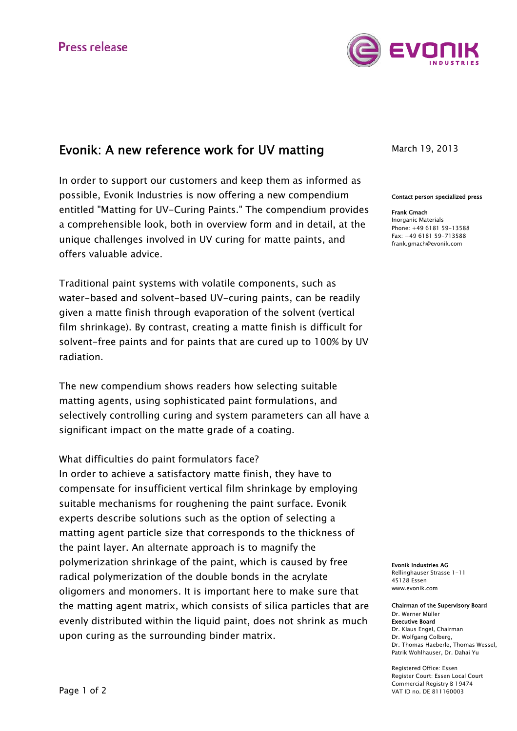

## Evonik: A new reference work for UV matting

In order to support our customers and keep them as informed as possible, Evonik Industries is now offering a new compendium entitled "Matting for UV-Curing Paints." The compendium provides a comprehensible look, both in overview form and in detail, at the unique challenges involved in UV curing for matte paints, and offers valuable advice.

Traditional paint systems with volatile components, such as water-based and solvent-based UV-curing paints, can be readily given a matte finish through evaporation of the solvent (vertical film shrinkage). By contrast, creating a matte finish is difficult for solvent-free paints and for paints that are cured up to 100% by UV radiation.

The new compendium shows readers how selecting suitable matting agents, using sophisticated paint formulations, and selectively controlling curing and system parameters can all have a significant impact on the matte grade of a coating.

What difficulties do paint formulators face? In order to achieve a satisfactory matte finish, they have to compensate for insufficient vertical film shrinkage by employing suitable mechanisms for roughening the paint surface. Evonik experts describe solutions such as the option of selecting a matting agent particle size that corresponds to the thickness of the paint layer. An alternate approach is to magnify the polymerization shrinkage of the paint, which is caused by free radical polymerization of the double bonds in the acrylate oligomers and monomers. It is important here to make sure that the matting agent matrix, which consists of silica particles that are evenly distributed within the liquid paint, does not shrink as much upon curing as the surrounding binder matrix.

March 19, 2013

## Contact person specialized press

Frank Gmach Inorganic Materials Phone: +49 6181 59-13588  $Fay: +49618159-713588$ frank.gmach@evonik.com

Evonik Industries AG Rellinghauser Strasse 1-11 45128 Essen www.evonik.com

Chairman of the Supervisory Board Dr. Werner Müller Executive Board Dr. Klaus Engel, Chairman Dr. Wolfgang Colberg, Dr. Thomas Haeberle, Thomas Wessel, Patrik Wohlhauser, Dr. Dahai Yu

Registered Office: Essen Register Court: Essen Local Court Commercial Registry B 19474 VAT ID no. DE 811160003